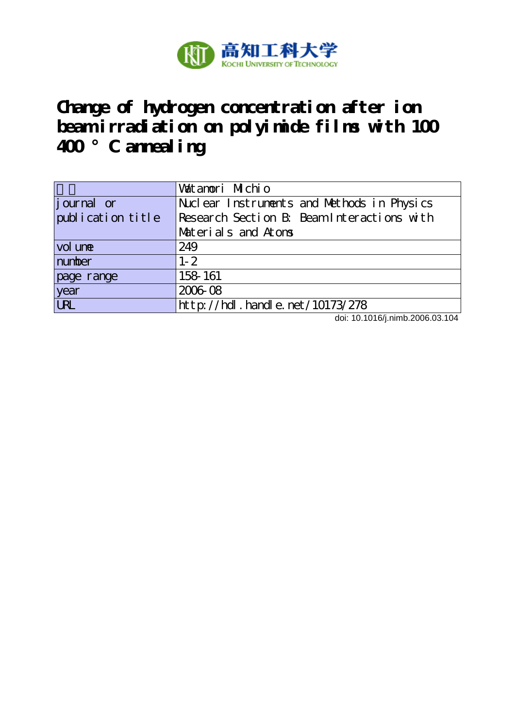

**Change of hydrogen concentration after ion beam irradiation on polyimide films with 100 400 °C annealing**

|                   | Watanori Michio                            |
|-------------------|--------------------------------------------|
| journal or        | Nuclear Instruments and Methods in Physics |
| publication title | Research Section B: Beam Interactions with |
|                   | Materials and Atoms                        |
| vol une           | 249                                        |
| number            | $1 - 2$                                    |
| page range        | 158 161                                    |
| year              | 2006-08                                    |
| <b>URL</b>        | http://hdl.handle.net/10173/278            |

doi: 10.1016/j.nimb.2006.03.104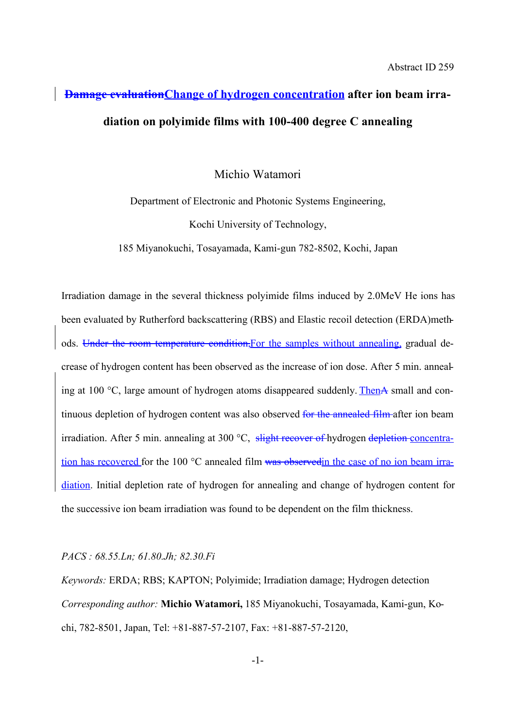# **Damage evaluationChange of hydrogen concentration after ion beam irradiation on polyimide films with 100-400 degree C annealing**

Michio Watamori

Department of Electronic and Photonic Systems Engineering,

Kochi University of Technology,

185 Miyanokuchi, Tosayamada, Kami-gun 782-8502, Kochi, Japan

Irradiation damage in the several thickness polyimide films induced by 2.0MeV He ions has been evaluated by Rutherford backscattering (RBS) and Elastic recoil detection (ERDA)methods. Under the room temperature condition, For the samples without annealing, gradual decrease of hydrogen content has been observed as the increase of ion dose. After 5 min. annealing at 100  $\degree$ C, large amount of hydrogen atoms disappeared suddenly. Then A small and continuous depletion of hydrogen content was also observed for the annealed film after ion beam irradiation. After 5 min. annealing at 300 °C, slight recover of hydrogen depletion concentration has recovered for the 100 °C annealed film was observedin the case of no ion beam irradiation. Initial depletion rate of hydrogen for annealing and change of hydrogen content for the successive ion beam irradiation was found to be dependent on the film thickness.

### *PACS : 68.55.Ln; 61.80.Jh; 82.30.Fi*

*Keywords:* ERDA; RBS; KAPTON; Polyimide; Irradiation damage; Hydrogen detection *Corresponding author:* **Michio Watamori,** 185 Miyanokuchi, Tosayamada, Kami-gun, Kochi, 782-8501, Japan, Tel: +81-887-57-2107, Fax: +81-887-57-2120,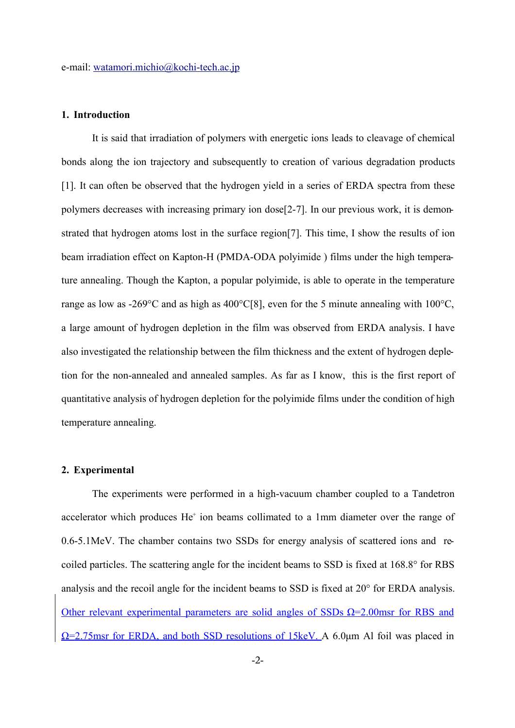e-mail: watamori.michio@kochi-tech.ac.jp

## **1. Introduction**

It is said that irradiation of polymers with energetic ions leads to cleavage of chemical bonds along the ion trajectory and subsequently to creation of various degradation products [1]. It can often be observed that the hydrogen yield in a series of ERDA spectra from these polymers decreases with increasing primary ion dose[2-7]. In our previous work, it is demonstrated that hydrogen atoms lost in the surface region[7]. This time, I show the results of ion beam irradiation effect on Kapton-H (PMDA-ODA polyimide ) films under the high temperature annealing. Though the Kapton, a popular polyimide, is able to operate in the temperature range as low as -269 $\degree$ C and as high as 400 $\degree$ C[8], even for the 5 minute annealing with 100 $\degree$ C, a large amount of hydrogen depletion in the film was observed from ERDA analysis. I have also investigated the relationship between the film thickness and the extent of hydrogen depletion for the non-annealed and annealed samples. As far as I know, this is the first report of quantitative analysis of hydrogen depletion for the polyimide films under the condition of high temperature annealing.

## **2. Experimental**

The experiments were performed in a high-vacuum chamber coupled to a Tandetron accelerator which produces He<sup>+</sup> ion beams collimated to a 1mm diameter over the range of 0.6-5.1MeV. The chamber contains two SSDs for energy analysis of scattered ions and recoiled particles. The scattering angle for the incident beams to SSD is fixed at 168.8° for RBS analysis and the recoil angle for the incident beams to SSD is fixed at 20° for ERDA analysis. Other relevant experimental parameters are solid angles of SSDs  $\Omega$ =2.00msr for RBS and  $\Omega$ =2.75msr for ERDA, and both SSD resolutions of 15keV. A 6.0 $\mu$ m Al foil was placed in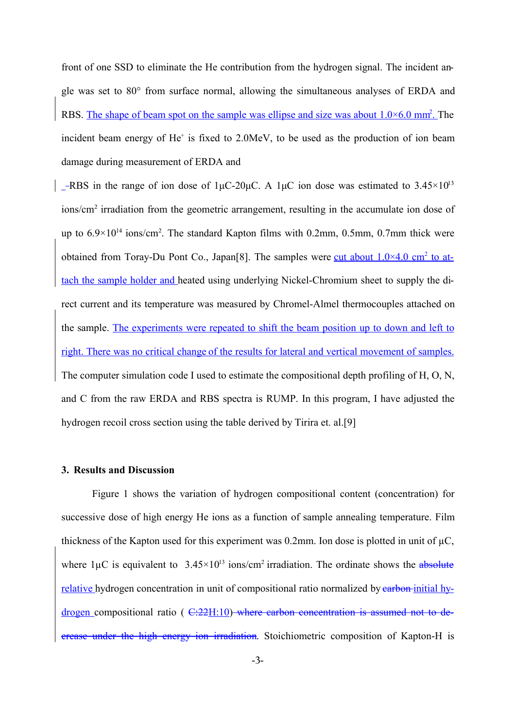front of one SSD to eliminate the He contribution from the hydrogen signal. The incident angle was set to 80° from surface normal, allowing the simultaneous analyses of ERDA and RBS. The shape of beam spot on the sample was ellipse and size was about  $1.0 \times 6.0$  mm<sup>2</sup>. The incident beam energy of He<sup>+</sup> is fixed to 2.0MeV, to be used as the production of ion beam damage during measurement of ERDA and

-RBS in the range of ion dose of  $1\mu$ C-20 $\mu$ C. A  $1\mu$ C ion dose was estimated to 3.45×10<sup>13</sup> ions/cm<sup>2</sup> irradiation from the geometric arrangement, resulting in the accumulate ion dose of up to  $6.9 \times 10^{14}$  ions/cm<sup>2</sup>. The standard Kapton films with 0.2mm, 0.5mm, 0.7mm thick were obtained from Toray-Du Pont Co., Japan<sup>[8]</sup>. The samples were cut about 1.0×4.0 cm<sup>2</sup> to attach the sample holder and heated using underlying Nickel-Chromium sheet to supply the direct current and its temperature was measured by Chromel-Almel thermocouples attached on the sample. The experiments were repeated to shift the beam position up to down and left to right. There was no critical change of the results for lateral and vertical movement of samples. The computer simulation code I used to estimate the compositional depth profiling of H, O, N, and C from the raw ERDA and RBS spectra is RUMP. In this program, I have adjusted the hydrogen recoil cross section using the table derived by Tirira et. al.[9]

## **3. Results and Discussion**

Figure 1 shows the variation of hydrogen compositional content (concentration) for successive dose of high energy He ions as a function of sample annealing temperature. Film thickness of the Kapton used for this experiment was  $0.2$ mm. Ion dose is plotted in unit of  $\mu$ C, where  $1\mu$ C is equivalent to  $3.45 \times 10^{13}$  ions/cm<sup>2</sup> irradiation. The ordinate shows the absolute relative hydrogen concentration in unit of compositional ratio normalized by earbon-initial hydrogen compositional ratio  $(E:22H:10)$  where carbon concentration is assumed not to decrease under the high energy ion irradiation. Stoichiometric composition of Kapton-H is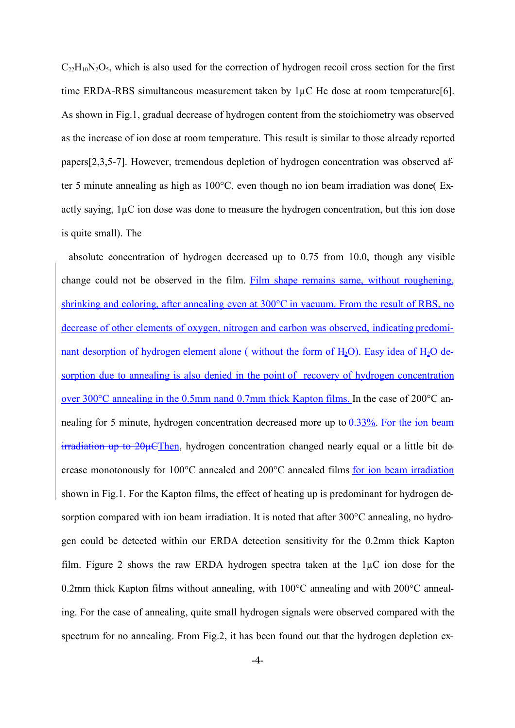$C_{22}H_{10}N_2O_5$ , which is also used for the correction of hydrogen recoil cross section for the first time ERDA-RBS simultaneous measurement taken by 1µC He dose at room temperature[6]. As shown in Fig.1, gradual decrease of hydrogen content from the stoichiometry was observed as the increase of ion dose at room temperature. This result is similar to those already reported papers[2,3,5-7]. However, tremendous depletion of hydrogen concentration was observed after 5 minute annealing as high as 100°C, even though no ion beam irradiation was done( Exactly saying, 1µC ion dose was done to measure the hydrogen concentration, but this ion dose is quite small). The

absolute concentration of hydrogen decreased up to 0.75 from 10.0, though any visible change could not be observed in the film. Film shape remains same, without roughening, shrinking and coloring, after annealing even at 300°C in vacuum. From the result of RBS, no decrease of other elements of oxygen, nitrogen and carbon was observed, indicating predominant desorption of hydrogen element alone ( without the form of  $H_2O$ ). Easy idea of  $H_2O$  desorption due to annealing is also denied in the point of recovery of hydrogen concentration over 300°C annealing in the 0.5mm nand 0.7mm thick Kapton films. In the case of 200°C annealing for 5 minute, hydrogen concentration decreased more up to  $0.33\%$ . For the ion beam  $i$  irradiation up to 20 $\mu$ CThen, hydrogen concentration changed nearly equal or a little bit decrease monotonously for 100°C annealed and 200°C annealed films for ion beam irradiation shown in Fig.1. For the Kapton films, the effect of heating up is predominant for hydrogen desorption compared with ion beam irradiation. It is noted that after 300°C annealing, no hydrogen could be detected within our ERDA detection sensitivity for the 0.2mm thick Kapton film. Figure 2 shows the raw ERDA hydrogen spectra taken at the  $1\mu$ C ion dose for the 0.2mm thick Kapton films without annealing, with 100°C annealing and with 200°C annealing. For the case of annealing, quite small hydrogen signals were observed compared with the spectrum for no annealing. From Fig.2, it has been found out that the hydrogen depletion ex-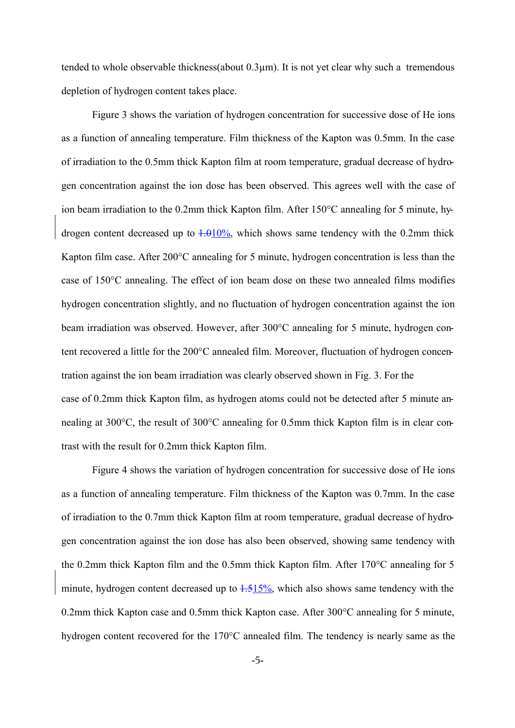tended to whole observable thickness(about  $0.3\mu$ m). It is not yet clear why such a tremendous depletion of hydrogen content takes place.

Figure 3 shows the variation of hydrogen concentration for successive dose of He ions as a function of annealing temperature. Film thickness of the Kapton was 0.5mm. In the case of irradiation to the 0.5mm thick Kapton film at room temperature, gradual decrease of hydrogen concentration against the ion dose has been observed. This agrees well with the case of ion beam irradiation to the 0.2mm thick Kapton film. After 150°C annealing for 5 minute, hydrogen content decreased up to  $\frac{1.010}{\%}$ , which shows same tendency with the 0.2mm thick Kapton film case. After 200°C annealing for 5 minute, hydrogen concentration is less than the case of 150°C annealing. The effect of ion beam dose on these two annealed films modifies hydrogen concentration slightly, and no fluctuation of hydrogen concentration against the ion beam irradiation was observed. However, after 300°C annealing for 5 minute, hydrogen content recovered a little for the 200°C annealed film. Moreover, fluctuation of hydrogen concentration against the ion beam irradiation was clearly observed shown in Fig. 3. For the case of 0.2mm thick Kapton film, as hydrogen atoms could not be detected after 5 minute annealing at 300°C, the result of 300°C annealing for 0.5mm thick Kapton film is in clear contrast with the result for 0.2mm thick Kapton film.

Figure 4 shows the variation of hydrogen concentration for successive dose of He ions as a function of annealing temperature. Film thickness of the Kapton was 0.7mm. In the case of irradiation to the 0.7mm thick Kapton film at room temperature, gradual decrease of hydrogen concentration against the ion dose has also been observed, showing same tendency with the 0.2mm thick Kapton film and the 0.5mm thick Kapton film. After 170°C annealing for 5 minute, hydrogen content decreased up to  $\frac{1.515\%}{1.515\%}$ , which also shows same tendency with the 0.2mm thick Kapton case and 0.5mm thick Kapton case. After 300°C annealing for 5 minute, hydrogen content recovered for the 170°C annealed film. The tendency is nearly same as the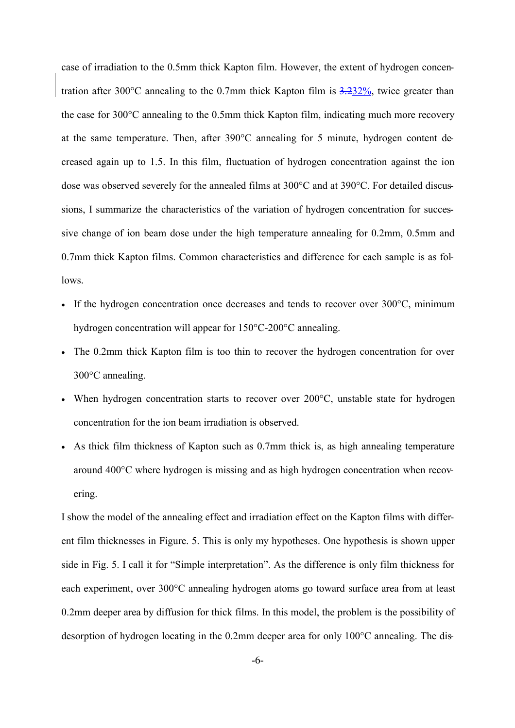case of irradiation to the 0.5mm thick Kapton film. However, the extent of hydrogen concentration after 300°C annealing to the 0.7mm thick Kapton film is 3.232%, twice greater than the case for 300°C annealing to the 0.5mm thick Kapton film, indicating much more recovery at the same temperature. Then, after 390°C annealing for 5 minute, hydrogen content decreased again up to 1.5. In this film, fluctuation of hydrogen concentration against the ion dose was observed severely for the annealed films at 300°C and at 390°C. For detailed discussions, I summarize the characteristics of the variation of hydrogen concentration for successive change of ion beam dose under the high temperature annealing for 0.2mm, 0.5mm and 0.7mm thick Kapton films. Common characteristics and difference for each sample is as follows.

- If the hydrogen concentration once decreases and tends to recover over 300 °C, minimum hydrogen concentration will appear for 150°C-200°C annealing.
- · The 0.2mm thick Kapton film is too thin to recover the hydrogen concentration for over 300°C annealing.
- When hydrogen concentration starts to recover over 200°C, unstable state for hydrogen concentration for the ion beam irradiation is observed.
- · As thick film thickness of Kapton such as 0.7mm thick is, as high annealing temperature around 400°C where hydrogen is missing and as high hydrogen concentration when recovering.

I show the model of the annealing effect and irradiation effect on the Kapton films with different film thicknesses in Figure. 5. This is only my hypotheses. One hypothesis is shown upper side in Fig. 5. I call it for "Simple interpretation". As the difference is only film thickness for each experiment, over 300°C annealing hydrogen atoms go toward surface area from at least 0.2mm deeper area by diffusion for thick films. In this model, the problem is the possibility of desorption of hydrogen locating in the 0.2mm deeper area for only 100°C annealing. The dis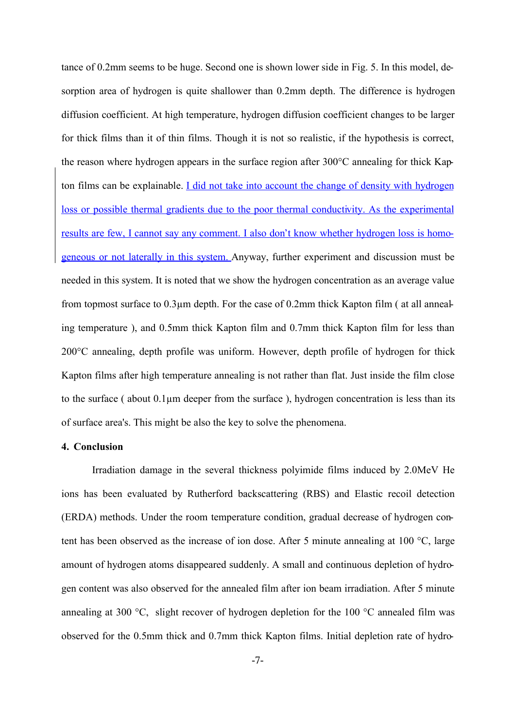tance of 0.2mm seems to be huge. Second one is shown lower side in Fig. 5. In this model, desorption area of hydrogen is quite shallower than 0.2mm depth. The difference is hydrogen diffusion coefficient. At high temperature, hydrogen diffusion coefficient changes to be larger for thick films than it of thin films. Though it is not so realistic, if the hypothesis is correct, the reason where hydrogen appears in the surface region after 300°C annealing for thick Kapton films can be explainable. I did not take into account the change of density with hydrogen loss or possible thermal gradients due to the poor thermal conductivity. As the experimental results are few, I cannot say any comment. I also don't know whether hydrogen loss is homogeneous or not laterally in this system. Anyway, further experiment and discussion must be needed in this system. It is noted that we show the hydrogen concentration as an average value from topmost surface to 0.3µm depth. For the case of 0.2mm thick Kapton film ( at all annealing temperature ), and 0.5mm thick Kapton film and 0.7mm thick Kapton film for less than 200°C annealing, depth profile was uniform. However, depth profile of hydrogen for thick Kapton films after high temperature annealing is not rather than flat. Just inside the film close to the surface ( about 0.1µm deeper from the surface ), hydrogen concentration is less than its of surface area's. This might be also the key to solve the phenomena.

### **4. Conclusion**

Irradiation damage in the several thickness polyimide films induced by 2.0MeV He ions has been evaluated by Rutherford backscattering (RBS) and Elastic recoil detection (ERDA) methods. Under the room temperature condition, gradual decrease of hydrogen content has been observed as the increase of ion dose. After 5 minute annealing at 100 °C, large amount of hydrogen atoms disappeared suddenly. A small and continuous depletion of hydrogen content was also observed for the annealed film after ion beam irradiation. After 5 minute annealing at 300 °C, slight recover of hydrogen depletion for the 100 °C annealed film was observed for the 0.5mm thick and 0.7mm thick Kapton films. Initial depletion rate of hydro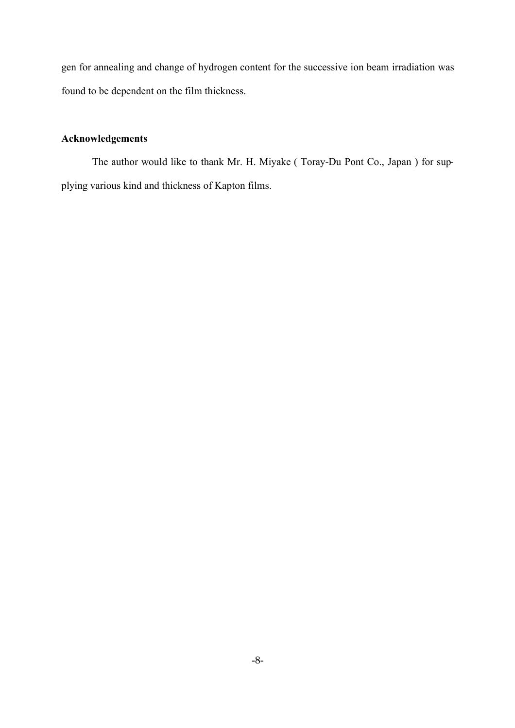gen for annealing and change of hydrogen content for the successive ion beam irradiation was found to be dependent on the film thickness.

## **Acknowledgements**

The author would like to thank Mr. H. Miyake ( Toray-Du Pont Co., Japan ) for supplying various kind and thickness of Kapton films.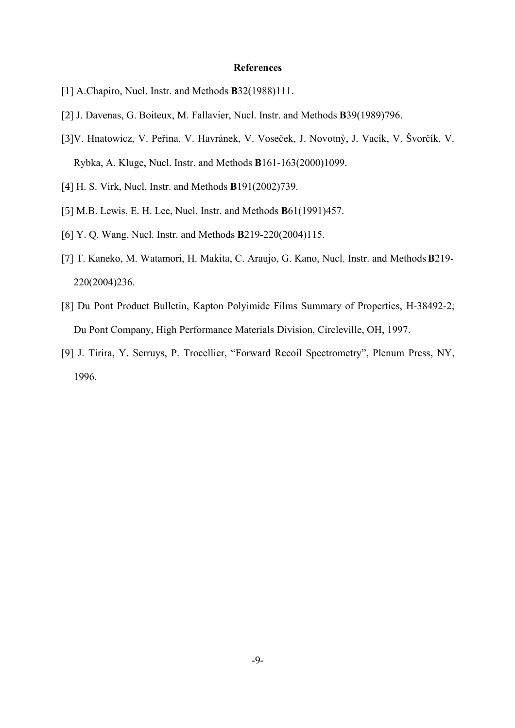## **References**

- [1] A.Chapiro, Nucl. Instr. and Methods **B**32(1988)111.
- [2] J. Davenas, G. Boiteux, M. Fallavier, Nucl. Instr. and Methods **B**39(1989)796.
- [3]V. Hnatowicz, V. Peřina, V. Havránek, V. Voseček, J. Novotnỳ, J. Vacík, V. Švorčík, V. Rybka, A. Kluge, Nucl. Instr. and Methods **B**161-163(2000)1099.
- [4] H. S. Virk, Nucl. Instr. and Methods **B**191(2002)739.
- [5] M.B. Lewis, E. H. Lee, Nucl. Instr. and Methods **B**61(1991)457.
- [6] Y. Q. Wang, Nucl. Instr. and Methods **B**219-220(2004)115.
- [7] T. Kaneko, M. Watamori, H. Makita, C. Araujo, G. Kano, Nucl. Instr. and Methods**B**219- 220(2004)236.
- [8] Du Pont Product Bulletin, Kapton Polyimide Films Summary of Properties, H-38492-2; Du Pont Company, High Performance Materials Division, Circleville, OH, 1997.
- [9] J. Tirira, Y. Serruys, P. Trocellier, "Forward Recoil Spectrometry", Plenum Press, NY, 1996.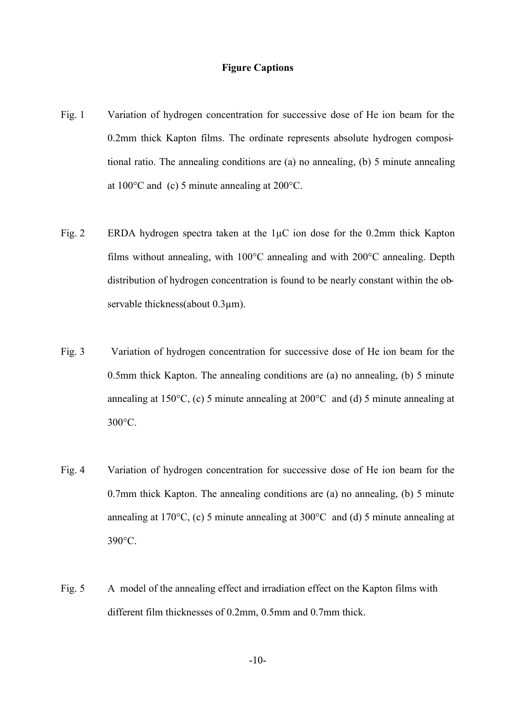## **Figure Captions**

- Fig. 1 Variation of hydrogen concentration for successive dose of He ion beam for the 0.2mm thick Kapton films. The ordinate represents absolute hydrogen compositional ratio. The annealing conditions are (a) no annealing, (b) 5 minute annealing at 100°C and (c) 5 minute annealing at 200°C.
- Fig. 2 ERDA hydrogen spectra taken at the 1µC ion dose for the 0.2mm thick Kapton films without annealing, with 100°C annealing and with 200°C annealing. Depth distribution of hydrogen concentration is found to be nearly constant within the observable thickness(about  $0.3 \mu m$ ).
- Fig. 3 Variation of hydrogen concentration for successive dose of He ion beam for the 0.5mm thick Kapton. The annealing conditions are (a) no annealing, (b) 5 minute annealing at 150°C, (c) 5 minute annealing at 200°C and (d) 5 minute annealing at 300°C.
- Fig. 4 Variation of hydrogen concentration for successive dose of He ion beam for the 0.7mm thick Kapton. The annealing conditions are (a) no annealing, (b) 5 minute annealing at 170°C, (c) 5 minute annealing at 300°C and (d) 5 minute annealing at 390°C.
- Fig. 5 A model of the annealing effect and irradiation effect on the Kapton films with different film thicknesses of 0.2mm, 0.5mm and 0.7mm thick.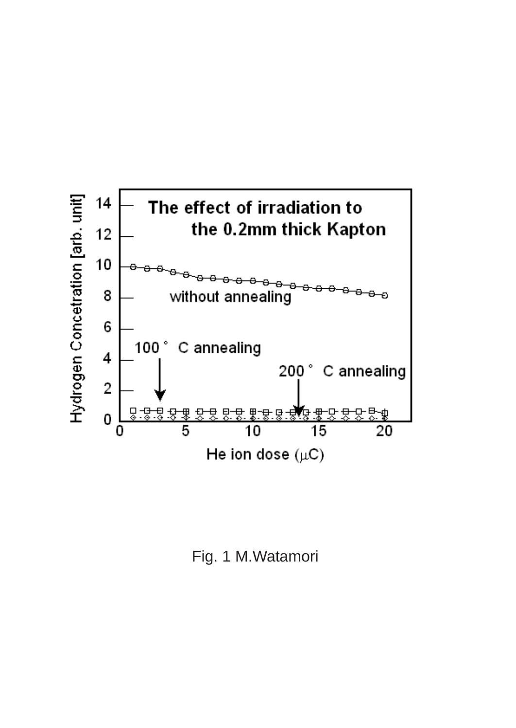

Fig. 1 M.Watamori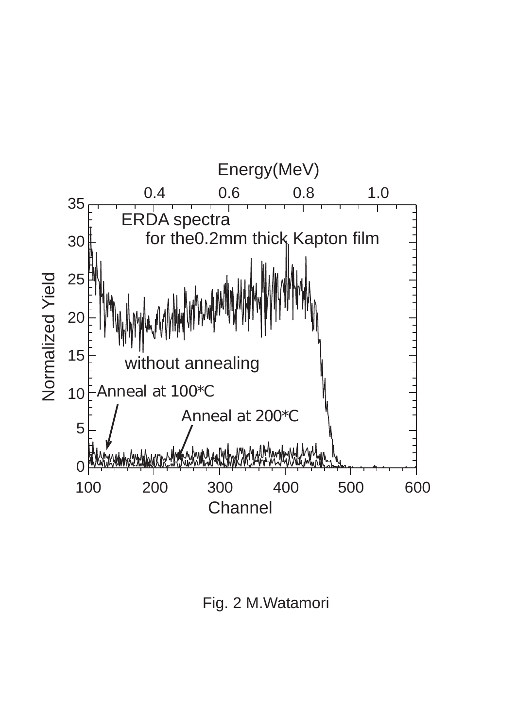

Fig. 2 M.Watamori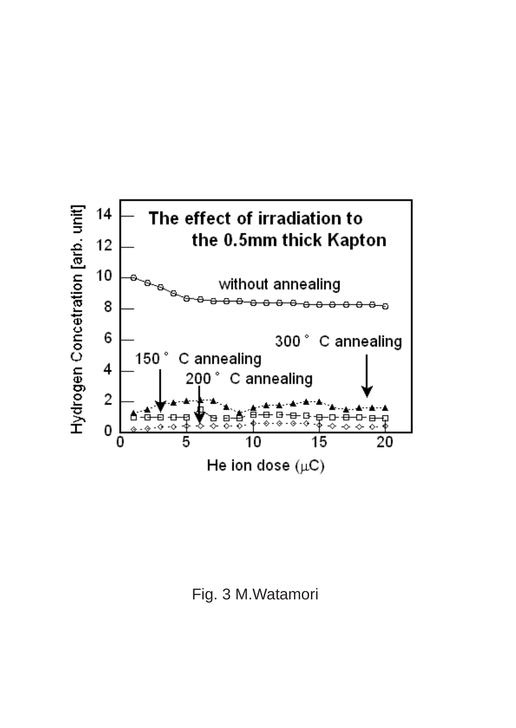

Fig. 3 M.Watamori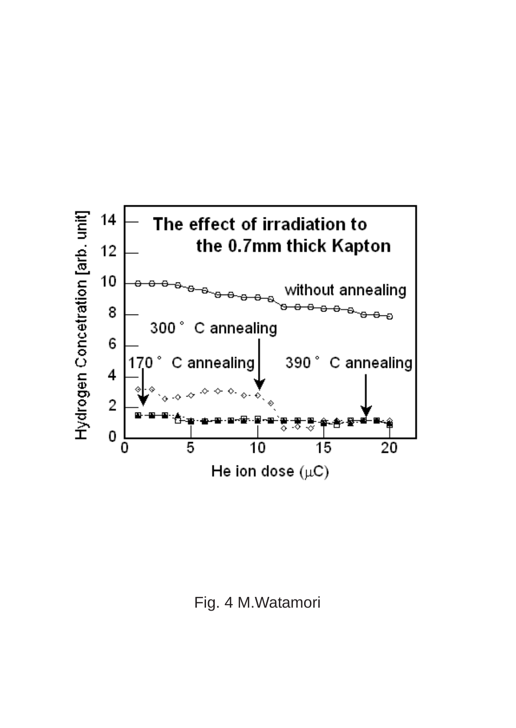

Fig. 4 M.Watamori